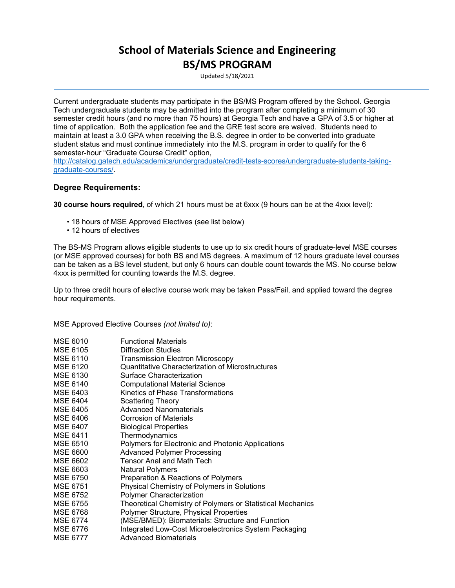## **School of Materials Science and Engineering BS/MS PROGRAM**

Updated 5/18/2021

Current undergraduate students may participate in the BS/MS Program offered by the School. Georgia Tech undergraduate students may be admitted into the program after completing a minimum of 30 semester credit hours (and no more than 75 hours) at Georgia Tech and have a GPA of 3.5 or higher at time of application. Both the application fee and the GRE test score are waived. Students need to maintain at least a 3.0 GPA when receiving the B.S. degree in order to be converted into graduate student status and must continue immediately into the M.S. program in order to qualify for the 6 semester-hour "Graduate Course Credit" option,

[http://catalog.gatech.edu/academics/undergraduate/credit-tests-scores/undergraduate-students-taking](http://catalog.gatech.edu/academics/undergraduate/credit-tests-scores/undergraduate-students-taking-graduate-courses/)[graduate-courses/.](http://catalog.gatech.edu/academics/undergraduate/credit-tests-scores/undergraduate-students-taking-graduate-courses/)

## **Degree Requirements:**

**30 course hours required**, of which 21 hours must be at 6xxx (9 hours can be at the 4xxx level):

- 18 hours of MSE Approved Electives (see list below)
- 12 hours of electives

The BS-MS Program allows eligible students to use up to six credit hours of graduate-level MSE courses (or MSE approved courses) for both BS and MS degrees. A maximum of 12 hours graduate level courses can be taken as a BS level student, but only 6 hours can double count towards the MS. No course below 4xxx is permitted for counting towards the M.S. degree.

Up to three credit hours of elective course work may be taken Pass/Fail, and applied toward the degree hour requirements.

MSE Approved Elective Courses *(not limited to)*:

| MSE 6010        | <b>Functional Materials</b>                                |
|-----------------|------------------------------------------------------------|
| MSE 6105        | <b>Diffraction Studies</b>                                 |
| <b>MSE 6110</b> | <b>Transmission Electron Microscopy</b>                    |
| MSE 6120        | Quantitative Characterization of Microstructures           |
| MSE 6130        | Surface Characterization                                   |
| <b>MSE 6140</b> | <b>Computational Material Science</b>                      |
| MSE 6403        | Kinetics of Phase Transformations                          |
| MSE 6404        | <b>Scattering Theory</b>                                   |
| MSE 6405        | <b>Advanced Nanomaterials</b>                              |
| MSE 6406        | <b>Corrosion of Materials</b>                              |
| MSE 6407        | <b>Biological Properties</b>                               |
| <b>MSE 6411</b> | Thermodynamics                                             |
| MSE 6510        | Polymers for Electronic and Photonic Applications          |
| MSE 6600        | <b>Advanced Polymer Processing</b>                         |
| MSE 6602        | <b>Tensor Anal and Math Tech</b>                           |
| MSE 6603        | <b>Natural Polymers</b>                                    |
| MSE 6750        | Preparation & Reactions of Polymers                        |
| <b>MSE 6751</b> | Physical Chemistry of Polymers in Solutions                |
| MSE 6752        | Polymer Characterization                                   |
| MSE 6755        | Theoretical Chemistry of Polymers or Statistical Mechanics |
| MSE 6768        | Polymer Structure, Physical Properties                     |
| <b>MSE 6774</b> | (MSE/BMED): Biomaterials: Structure and Function           |
| MSE 6776        | Integrated Low-Cost Microelectronics System Packaging      |
| <b>MSE 6777</b> | <b>Advanced Biomaterials</b>                               |